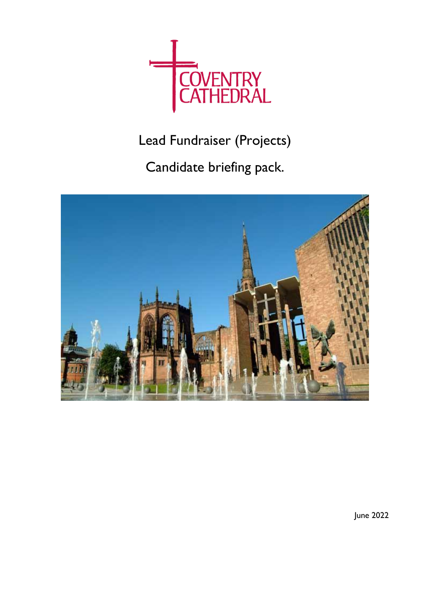

Lead Fundraiser (Projects)

Candidate briefing pack.



June 2022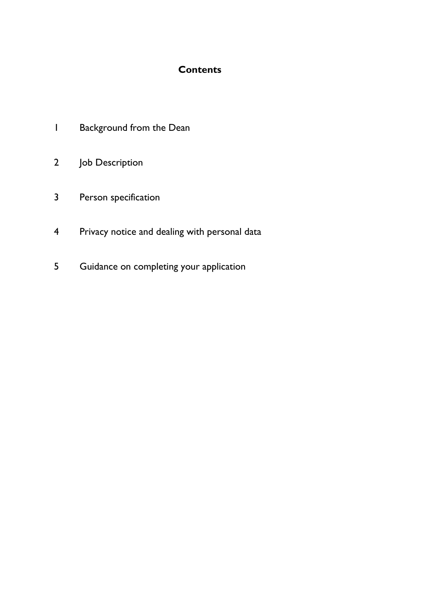# **Contents**

- Background from the Dean
- Job Description
- Person specification
- Privacy notice and dealing with personal data
- Guidance on completing your application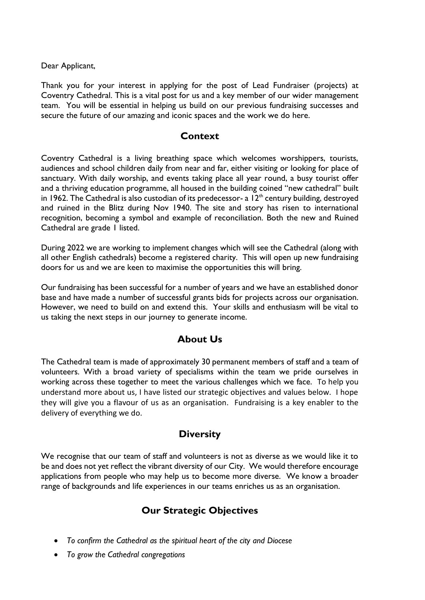Dear Applicant,

Thank you for your interest in applying for the post of Lead Fundraiser (projects) at Coventry Cathedral. This is a vital post for us and a key member of our wider management team. You will be essential in helping us build on our previous fundraising successes and secure the future of our amazing and iconic spaces and the work we do here.

## **Context**

Coventry Cathedral is a living breathing space which welcomes worshippers, tourists, audiences and school children daily from near and far, either visiting or looking for place of sanctuary. With daily worship, and events taking place all year round, a busy tourist offer and a thriving education programme, all housed in the building coined "new cathedral" built in 1962. The Cathedral is also custodian of its predecessor- a  $12<sup>th</sup>$  century building, destroyed and ruined in the Blitz during Nov 1940. The site and story has risen to international recognition, becoming a symbol and example of reconciliation. Both the new and Ruined Cathedral are grade 1 listed.

During 2022 we are working to implement changes which will see the Cathedral (along with all other English cathedrals) become a registered charity. This will open up new fundraising doors for us and we are keen to maximise the opportunities this will bring.

Our fundraising has been successful for a number of years and we have an established donor base and have made a number of successful grants bids for projects across our organisation. However, we need to build on and extend this. Your skills and enthusiasm will be vital to us taking the next steps in our journey to generate income.

# **About Us**

The Cathedral team is made of approximately 30 permanent members of staff and a team of volunteers. With a broad variety of specialisms within the team we pride ourselves in working across these together to meet the various challenges which we face. To help you understand more about us, I have listed our strategic objectives and values below. I hope they will give you a flavour of us as an organisation. Fundraising is a key enabler to the delivery of everything we do.

## **Diversity**

We recognise that our team of staff and volunteers is not as diverse as we would like it to be and does not yet reflect the vibrant diversity of our City. We would therefore encourage applications from people who may help us to become more diverse. We know a broader range of backgrounds and life experiences in our teams enriches us as an organisation.

# **Our Strategic Objectives**

- *To confirm the Cathedral as the spiritual heart of the city and Diocese*
- *To grow the Cathedral congregations*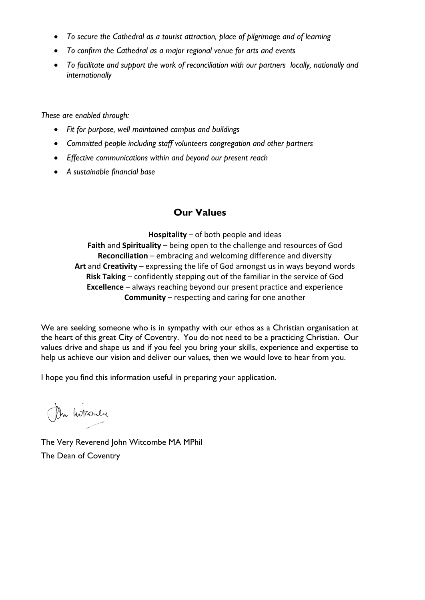- *To secure the Cathedral as a tourist attraction, place of pilgrimage and of learning*
- *To confirm the Cathedral as a major regional venue for arts and events*
- *To facilitate and support the work of reconciliation with our partners locally, nationally and internationally*

*These are enabled through:*

- *Fit for purpose, well maintained campus and buildings*
- *Committed people including staff volunteers congregation and other partners*
- *Effective communications within and beyond our present reach*
- *A sustainable financial base*

# **Our Values**

**Hospitality** – of both people and ideas **Faith** and **Spirituality** – being open to the challenge and resources of God **Reconciliation** – embracing and welcoming difference and diversity **Art** and **Creativity** – expressing the life of God amongst us in ways beyond words **Risk Taking** – confidently stepping out of the familiar in the service of God **Excellence** – always reaching beyond our present practice and experience **Community** – respecting and caring for one another

We are seeking someone who is in sympathy with our ethos as a Christian organisation at the heart of this great City of Coventry. You do not need to be a practicing Christian. Our values drive and shape us and if you feel you bring your skills, experience and expertise to help us achieve our vision and deliver our values, then we would love to hear from you.

I hope you find this information useful in preparing your application.

On Intronly

The Very Reverend John Witcombe MA MPhil The Dean of Coventry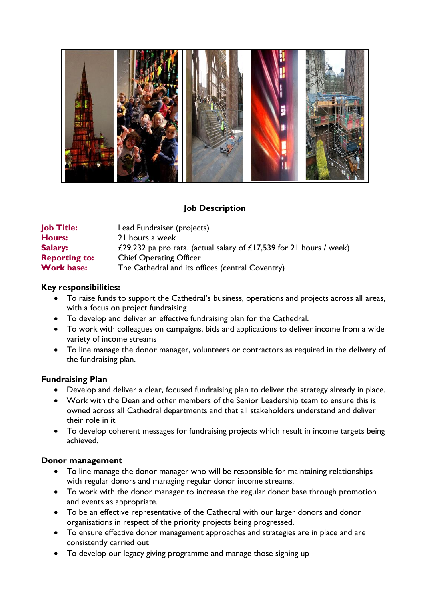

# **Job Description**

| <b>Job Title:</b>    | Lead Fundraiser (projects)                                          |
|----------------------|---------------------------------------------------------------------|
| <b>Hours:</b>        | 21 hours a week                                                     |
| <b>Salary:</b>       | £29,232 pa pro rata. (actual salary of £17,539 for 21 hours / week) |
| <b>Reporting to:</b> | <b>Chief Operating Officer</b>                                      |
| <b>Work base:</b>    | The Cathedral and its offices (central Coventry)                    |

#### **Key responsibilities:**

- To raise funds to support the Cathedral's business, operations and projects across all areas, with a focus on project fundraising
- To develop and deliver an effective fundraising plan for the Cathedral.
- To work with colleagues on campaigns, bids and applications to deliver income from a wide variety of income streams
- To line manage the donor manager, volunteers or contractors as required in the delivery of the fundraising plan.

#### **Fundraising Plan**

- Develop and deliver a clear, focused fundraising plan to deliver the strategy already in place.
- Work with the Dean and other members of the Senior Leadership team to ensure this is owned across all Cathedral departments and that all stakeholders understand and deliver their role in it
- To develop coherent messages for fundraising projects which result in income targets being achieved.

#### **Donor management**

- To line manage the donor manager who will be responsible for maintaining relationships with regular donors and managing regular donor income streams.
- To work with the donor manager to increase the regular donor base through promotion and events as appropriate.
- To be an effective representative of the Cathedral with our larger donors and donor organisations in respect of the priority projects being progressed.
- To ensure effective donor management approaches and strategies are in place and are consistently carried out
- To develop our legacy giving programme and manage those signing up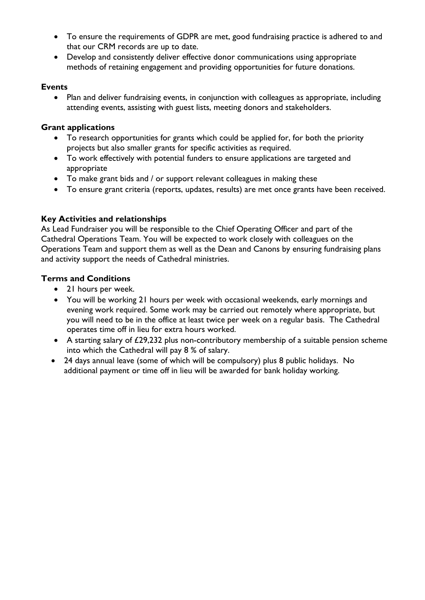- To ensure the requirements of GDPR are met, good fundraising practice is adhered to and that our CRM records are up to date.
- Develop and consistently deliver effective donor communications using appropriate methods of retaining engagement and providing opportunities for future donations.

#### **Events**

• Plan and deliver fundraising events, in conjunction with colleagues as appropriate, including attending events, assisting with guest lists, meeting donors and stakeholders.

### **Grant applications**

- To research opportunities for grants which could be applied for, for both the priority projects but also smaller grants for specific activities as required.
- To work effectively with potential funders to ensure applications are targeted and appropriate
- To make grant bids and / or support relevant colleagues in making these
- To ensure grant criteria (reports, updates, results) are met once grants have been received.

## **Key Activities and relationships**

As Lead Fundraiser you will be responsible to the Chief Operating Officer and part of the Cathedral Operations Team. You will be expected to work closely with colleagues on the Operations Team and support them as well as the Dean and Canons by ensuring fundraising plans and activity support the needs of Cathedral ministries.

### **Terms and Conditions**

- 21 hours per week.
- You will be working 21 hours per week with occasional weekends, early mornings and evening work required. Some work may be carried out remotely where appropriate, but you will need to be in the office at least twice per week on a regular basis. The Cathedral operates time off in lieu for extra hours worked.
- A starting salary of £29,232 plus non-contributory membership of a suitable pension scheme into which the Cathedral will pay 8 % of salary.
- 24 days annual leave (some of which will be compulsory) plus 8 public holidays. No additional payment or time off in lieu will be awarded for bank holiday working.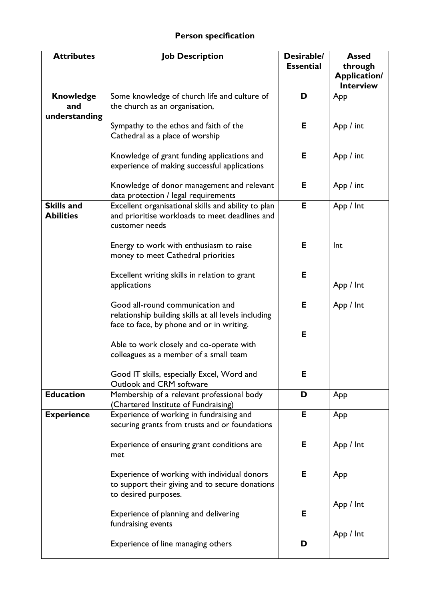| <b>Attributes</b>                     | <b>Job Description</b>                                                                                                          | Desirable/<br><b>Essential</b> | <b>Assed</b><br>through<br><b>Application/</b><br><b>Interview</b> |
|---------------------------------------|---------------------------------------------------------------------------------------------------------------------------------|--------------------------------|--------------------------------------------------------------------|
| <b>Knowledge</b><br>and               | Some knowledge of church life and culture of<br>the church as an organisation,                                                  | D                              | App                                                                |
| understanding                         | Sympathy to the ethos and faith of the<br>Cathedral as a place of worship                                                       | E.                             | App / int                                                          |
|                                       | Knowledge of grant funding applications and<br>experience of making successful applications                                     | E.                             | App / int                                                          |
|                                       | Knowledge of donor management and relevant<br>data protection / legal requirements                                              | Е                              | App / int                                                          |
| <b>Skills and</b><br><b>Abilities</b> | Excellent organisational skills and ability to plan<br>and prioritise workloads to meet deadlines and<br>customer needs         | Е                              | App / Int                                                          |
|                                       | Energy to work with enthusiasm to raise<br>money to meet Cathedral priorities                                                   | Е                              | Int                                                                |
|                                       | Excellent writing skills in relation to grant<br>applications                                                                   | Е                              | App / Int                                                          |
|                                       | Good all-round communication and<br>relationship building skills at all levels including                                        | E.                             | App / Int                                                          |
|                                       | face to face, by phone and or in writing.<br>Able to work closely and co-operate with<br>colleagues as a member of a small team | Е                              |                                                                    |
|                                       | Good IT skills, especially Excel, Word and<br>Outlook and CRM software                                                          | Е                              |                                                                    |
| <b>Education</b>                      | Membership of a relevant professional body<br>(Chartered Institute of Fundraising)                                              | D                              | App                                                                |
| <b>Experience</b>                     | Experience of working in fundraising and<br>securing grants from trusts and or foundations                                      | Е                              | App                                                                |
|                                       | Experience of ensuring grant conditions are<br>met                                                                              | Е                              | App / Int                                                          |
|                                       | Experience of working with individual donors<br>to support their giving and to secure donations<br>to desired purposes.         | Е                              | App                                                                |
|                                       | Experience of planning and delivering<br>fundraising events                                                                     | Е                              | App / Int                                                          |
|                                       | Experience of line managing others                                                                                              | D                              | App / Int                                                          |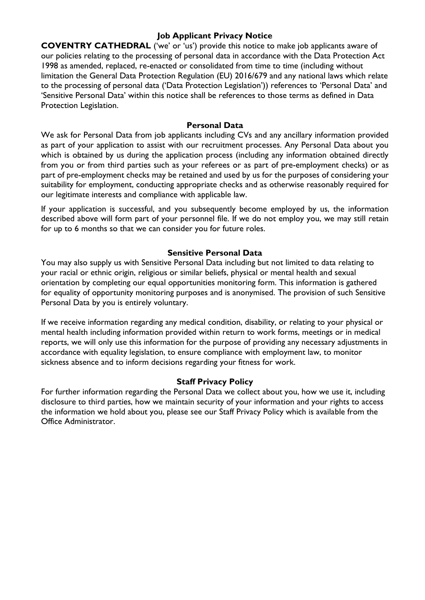#### **Job Applicant Privacy Notice**

**COVENTRY CATHEDRAL** ('we' or 'us') provide this notice to make job applicants aware of our policies relating to the processing of personal data in accordance with the Data Protection Act 1998 as amended, replaced, re-enacted or consolidated from time to time (including without limitation the General Data Protection Regulation (EU) 2016/679 and any national laws which relate to the processing of personal data ('Data Protection Legislation')) references to 'Personal Data' and 'Sensitive Personal Data' within this notice shall be references to those terms as defined in Data Protection Legislation.

#### **Personal Data**

We ask for Personal Data from job applicants including CVs and any ancillary information provided as part of your application to assist with our recruitment processes. Any Personal Data about you which is obtained by us during the application process (including any information obtained directly from you or from third parties such as your referees or as part of pre-employment checks) or as part of pre-employment checks may be retained and used by us for the purposes of considering your suitability for employment, conducting appropriate checks and as otherwise reasonably required for our legitimate interests and compliance with applicable law.

If your application is successful, and you subsequently become employed by us, the information described above will form part of your personnel file. If we do not employ you, we may still retain for up to 6 months so that we can consider you for future roles.

#### **Sensitive Personal Data**

You may also supply us with Sensitive Personal Data including but not limited to data relating to your racial or ethnic origin, religious or similar beliefs, physical or mental health and sexual orientation by completing our equal opportunities monitoring form. This information is gathered for equality of opportunity monitoring purposes and is anonymised. The provision of such Sensitive Personal Data by you is entirely voluntary.

If we receive information regarding any medical condition, disability, or relating to your physical or mental health including information provided within return to work forms, meetings or in medical reports, we will only use this information for the purpose of providing any necessary adjustments in accordance with equality legislation, to ensure compliance with employment law, to monitor sickness absence and to inform decisions regarding your fitness for work.

#### **Staff Privacy Policy**

For further information regarding the Personal Data we collect about you, how we use it, including disclosure to third parties, how we maintain security of your information and your rights to access the information we hold about you, please see our Staff Privacy Policy which is available from the Office Administrator.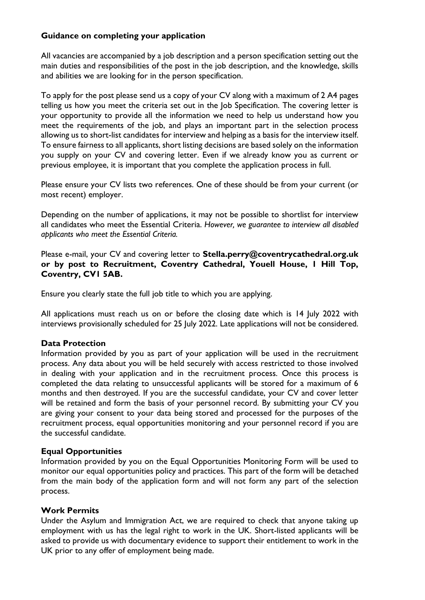### **Guidance on completing your application**

All vacancies are accompanied by a job description and a person specification setting out the main duties and responsibilities of the post in the job description, and the knowledge, skills and abilities we are looking for in the person specification.

To apply for the post please send us a copy of your CV along with a maximum of 2 A4 pages telling us how you meet the criteria set out in the Job Specification. The covering letter is your opportunity to provide all the information we need to help us understand how you meet the requirements of the job, and plays an important part in the selection process allowing us to short-list candidates for interview and helping as a basis for the interview itself. To ensure fairness to all applicants, short listing decisions are based solely on the information you supply on your CV and covering letter. Even if we already know you as current or previous employee, it is important that you complete the application process in full.

Please ensure your CV lists two references. One of these should be from your current (or most recent) employer.

Depending on the number of applications, it may not be possible to shortlist for interview all candidates who meet the Essential Criteria. *However, we guarantee to interview all disabled applicants who meet the Essential Criteria.*

Please e-mail, your CV and covering letter to **Stella.perry@coventrycathedral.org.uk or by post to Recruitment, Coventry Cathedral, Youell House, 1 Hill Top, Coventry, CV1 5AB.** 

Ensure you clearly state the full job title to which you are applying.

All applications must reach us on or before the closing date which is 14 July 2022 with interviews provisionally scheduled for 25 July 2022. Late applications will not be considered.

#### **Data Protection**

Information provided by you as part of your application will be used in the recruitment process. Any data about you will be held securely with access restricted to those involved in dealing with your application and in the recruitment process. Once this process is completed the data relating to unsuccessful applicants will be stored for a maximum of 6 months and then destroyed. If you are the successful candidate, your CV and cover letter will be retained and form the basis of your personnel record. By submitting your CV you are giving your consent to your data being stored and processed for the purposes of the recruitment process, equal opportunities monitoring and your personnel record if you are the successful candidate.

#### **Equal Opportunities**

Information provided by you on the Equal Opportunities Monitoring Form will be used to monitor our equal opportunities policy and practices. This part of the form will be detached from the main body of the application form and will not form any part of the selection process.

#### **Work Permits**

Under the Asylum and Immigration Act, we are required to check that anyone taking up employment with us has the legal right to work in the UK. Short-listed applicants will be asked to provide us with documentary evidence to support their entitlement to work in the UK prior to any offer of employment being made.